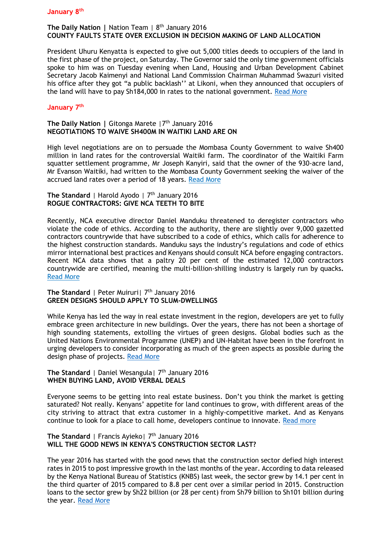### **The Daily Nation |** Nation Team | 8th January 2016 **COUNTY FAULTS STATE OVER EXCLUSION IN DECISION MAKING OF LAND ALLOCATION**

President Uhuru Kenyatta is expected to give out 5,000 titles deeds to occupiers of the land in the first phase of the project, on Saturday. The Governor said the only time government officials spoke to him was on Tuesday evening when Land, Housing and Urban Development Cabinet Secretary Jacob Kaimenyi and National Land Commission Chairman Muhammad Swazuri visited his office after they got "a public backlash'' at Likoni, when they announced that occupiers of the land will have to pay Sh184,000 in rates to the national government. [Read More](http://www.nation.co.ke/counties/County-faults-State-over-exclusion-in-decision-making/-/1107872/3025148/-/151b3c9z/-/index.html)

# **January 7th**

# **The Daily Nation | Gitonga Marete | 7<sup>th</sup> January 2016 NEGOTIATIONS TO WAIVE SH400M IN WAITIKI LAND ARE ON**

High level negotiations are on to persuade the Mombasa County Government to waive Sh400 million in land rates for the controversial Waitiki farm. The coordinator of the Waitiki Farm squatter settlement programme, Mr Joseph Kanyiri, said that the owner of the 930-acre land, Mr Evanson Waitiki, had written to the Mombasa County Government seeking the waiver of the accrued land rates over a period of 18 years. [Read More](http://www.nation.co.ke/counties/mombasa/Talks-to-waive-Sh400m-in-Waitiki-land--begin/-/1954178/3023604/-/lg1l4uz/-/index.html)

### The Standard | Harold Ayodo | 7<sup>th</sup> January 2016 **ROGUE CONTRACTORS: GIVE NCA TEETH TO BITE**

Recently, NCA executive director Daniel Manduku threatened to deregister contractors who violate the code of ethics. According to the authority, there are slightly over 9,000 gazetted contractors countrywide that have subscribed to a code of ethics, which calls for adherence to the highest construction standards. Manduku says the industry's regulations and code of ethics mirror international best practices and Kenyans should consult NCA before engaging contractors. Recent NCA data shows that a paltry 20 per cent of the estimated 12,000 contractors countrywide are certified, meaning the multi-billion-shilling industry is largely run by quacks**.**  [Read More](file:///C:/Users/KPDA%20LAPTOP/Downloads/Read%20more%20at:%20http:/www.standardmedia.co.ke/lifestyle/article/2000187259/rogue-contractors-give-nca-teeth-to-bite)

#### **The Standard** | Peter Muiruri | 7<sup>th</sup> January 2016 **GREEN DESIGNS SHOULD APPLY TO SLUM-DWELLINGS**

While Kenya has led the way in real estate investment in the region, developers are yet to fully embrace green architecture in new buildings. Over the years, there has not been a shortage of high sounding statements, extolling the virtues of green designs. Global bodies such as the United Nations Environmental Programme (UNEP) and UN-Habitat have been in the forefront in urging developers to consider incorporating as much of the green aspects as possible during the design phase of projects. [Read More](file:///C:/Users/KPDA%20LAPTOP/Downloads/Read%20more%20at:%20http:/www.standardmedia.co.ke/lifestyle/article/2000187257/green-designs-should-apply-to-slum-dwellings)

### **The Standard** | Daniel Wesangula | 7<sup>th</sup> January 2016 **WHEN BUYING LAND, AVOID VERBAL DEALS**

Everyone seems to be getting into real estate business. Don't you think the market is getting saturated? Not really. Kenyans' appetite for land continues to grow, with different areas of the city striving to attract that extra customer in a highly-competitive market. And as Kenyans continue to look for a place to call home, developers continue to innovate. [Read more](file:///C:/Users/KPDA%20LAPTOP/Downloads/Read%20more%20at:%20http:/www.standardmedia.co.ke/lifestyle/article/2000187265/when-buying-land-avoid-verbal-deals)

#### **The Standard** | Francis Ayieko | 7<sup>th</sup> January 2016 **WILL THE GOOD NEWS IN KENYA'S CONSTRUCTION SECTOR LAST?**

The year 2016 has started with the good news that the construction sector defied high interest rates in 2015 to post impressive growth in the last months of the year. According to data released by the Kenya National Bureau of Statistics (KNBS) last week, the sector grew by 14.1 per cent in the third quarter of 2015 compared to 8.8 per cent over a similar period in 2015. Construction loans to the sector grew by Sh22 billion (or 28 per cent) from Sh79 billion to Sh101 billion during the year. [Read More](file:///C:/Users/KPDA%20LAPTOP/Downloads/Read%20more%20at:%20http:/www.standardmedia.co.ke/lifestyle/article/2000187249/will-the-good-news-in-kenya-s-construction-sector-last)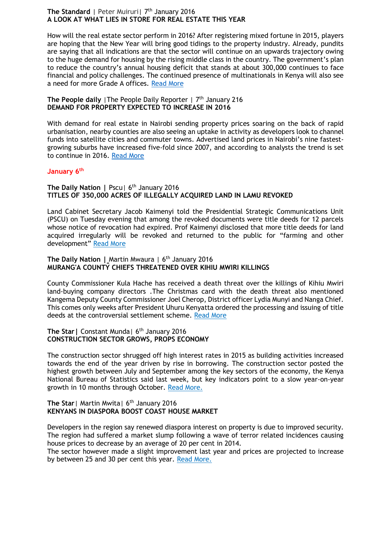# **The Standard** | Peter Muiruri | 7<sup>th</sup> January 2016 **A LOOK AT WHAT LIES IN STORE FOR REAL ESTATE THIS YEAR**

How will the real estate sector perform in 2016? After registering mixed fortune in 2015, players are hoping that the New Year will bring good tidings to the property industry. Already, pundits are saying that all indications are that the sector will continue on an upwards trajectory owing to the huge demand for housing by the rising middle class in the country. The government's plan to reduce the country's annual housing deficit that stands at about 300,000 continues to face financial and policy challenges. The continued presence of multinationals in Kenya will also see a need for more Grade A offices. [Read More](file:///C:/Users/KPDA%20LAPTOP/Downloads/Read%20more%20at:%20http:/www.standardmedia.co.ke/lifestyle/article/2000187261/a-look-at-what-lies-in-store-for-real-estate-this-year)

# **The People daily** I The People Daily Reporter | 7<sup>th</sup> January 216 **DEMAND FOR PROPERTY EXPECTED TO INCREASE IN 2016**

With demand for real estate in Nairobi sending property prices soaring on the back of rapid urbanisation, nearby counties are also seeing an uptake in activity as developers look to channel funds into satellite cities and commuter towns. Advertised land prices in Nairobi's nine fastestgrowing suburbs have increased five-fold since 2007, and according to analysts the trend is set to continue in 2016. [Read More](http://www.mediamaxnetwork.co.ke/k24-tv/190748/demand-for-property-expected-to-increase-in-2016/)

# **January 6th**

# **The Daily Nation | Pscul 6<sup>th</sup> January 2016 TITLES OF 350,000 ACRES OF ILLEGALLY ACQUIRED LAND IN LAMU REVOKED**

Land Cabinet Secretary Jacob Kaimenyi told the Presidential Strategic Communications Unit (PSCU) on Tuesday evening that among the revoked documents were title deeds for 12 parcels whose notice of revocation had expired. Prof Kaimenyi disclosed that more title deeds for land acquired irregularly will be revoked and returned to the public for "farming and other development" [Read More](http://www.nation.co.ke/news/Titles-Lamu-land-revoked/-/1056/3022818/-/lykmqy/-/index.html)

# **The Daily Nation | Martin Mwaura | 6<sup>th</sup> January 2016 MURANG'A COUNTY CHIEFS THREATENED OVER KIHIU MWIRI KILLINGS**

County Commissioner Kula Hache has received a death threat over the killings of Kihiu Mwiri land-buying company directors .The Christmas card with the death threat also mentioned Kangema Deputy County Commissioner Joel Cherop, District officer Lydia Munyi and Nanga Chief. This comes only weeks after President Uhuru Kenyatta ordered the processing and issuing of title deeds at the controversial settlement scheme. [Read More](http://www.nation.co.ke/counties/Muranga-Kihiu-Mwiri-killings/-/1107872/3022906/-/as4fcmz/-/index.html)

#### **The Star|** Constant Munda| 6th January 2016 **CONSTRUCTION SECTOR GROWS, PROPS ECONOMY**

The construction sector shrugged off high interest rates in 2015 as building activities increased towards the end of the year driven by rise in borrowing. The construction sector posted the highest growth between July and September among the key sectors of the economy, the Kenya National Bureau of Statistics said last week, but key indicators point to a slow year-on-year growth in 10 months through October. [Read More.](http://www.the-star.co.ke/news/2016/01/06/construction-sector-grows-props-economy_c1269845)

#### **The Star** | Martin Mwita | 6<sup>th</sup> January 2016 **KENYANS IN DIASPORA BOOST COAST HOUSE MARKET**

Developers in the region say renewed diaspora interest on property is due to improved security. The region had suffered a market slump following a wave of terror related incidences causing house prices to decrease by an average of 20 per cent in 2014.

The sector however made a slight improvement last year and prices are projected to increase by between 25 and 30 per cent this year. [Read More.](http://www.the-star.co.ke/news/2016/01/06/kenyans-in-diaspora-boost-coast-house-market_c1269844)